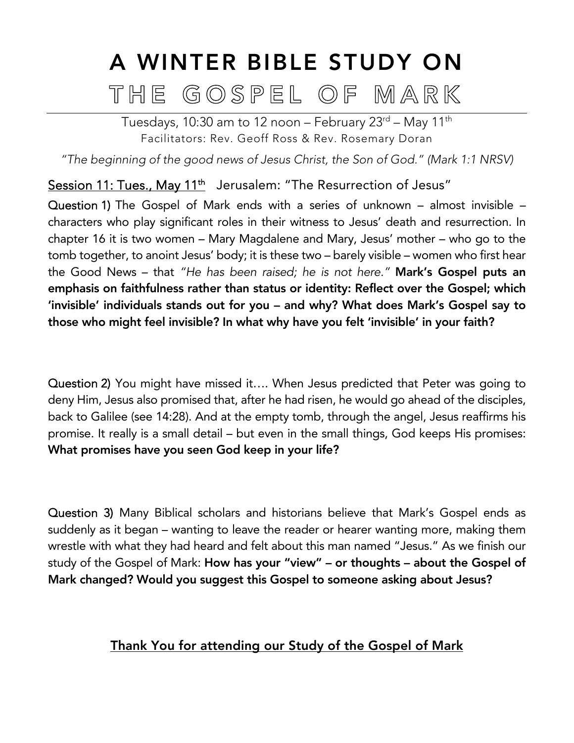# A WINTER BIBLE STUDY ON THE GOSPEL OF MARK

Tuesdays, 10:30 am to 12 noon – February  $23<sup>rd</sup>$  – May 11<sup>th</sup> Facilitators: Rev. Geoff Ross & Rev. Rosemary Doran

*"The beginning of the good news of Jesus Christ, the Son of God." (Mark 1:1 NRSV)*

Session 11: Tues., May 11<sup>th</sup> Jerusalem: "The Resurrection of Jesus"

Question 1) The Gospel of Mark ends with a series of unknown – almost invisible – characters who play significant roles in their witness to Jesus' death and resurrection. In chapter 16 it is two women – Mary Magdalene and Mary, Jesus' mother – who go to the tomb together, to anoint Jesus' body; it is these two – barely visible – women who first hear the Good News – that *"He has been raised; he is not here."* Mark's Gospel puts an emphasis on faithfulness rather than status or identity: Reflect over the Gospel; which 'invisible' individuals stands out for you – and why? What does Mark's Gospel say to those who might feel invisible? In what why have you felt 'invisible' in your faith?

Question 2) You might have missed it…. When Jesus predicted that Peter was going to deny Him, Jesus also promised that, after he had risen, he would go ahead of the disciples, back to Galilee (see 14:28). And at the empty tomb, through the angel, Jesus reaffirms his promise. It really is a small detail – but even in the small things, God keeps His promises: What promises have you seen God keep in your life?

Question 3) Many Biblical scholars and historians believe that Mark's Gospel ends as suddenly as it began – wanting to leave the reader or hearer wanting more, making them wrestle with what they had heard and felt about this man named "Jesus." As we finish our study of the Gospel of Mark: How has your "view" – or thoughts – about the Gospel of Mark changed? Would you suggest this Gospel to someone asking about Jesus?

## Thank You for attending our Study of the Gospel of Mark